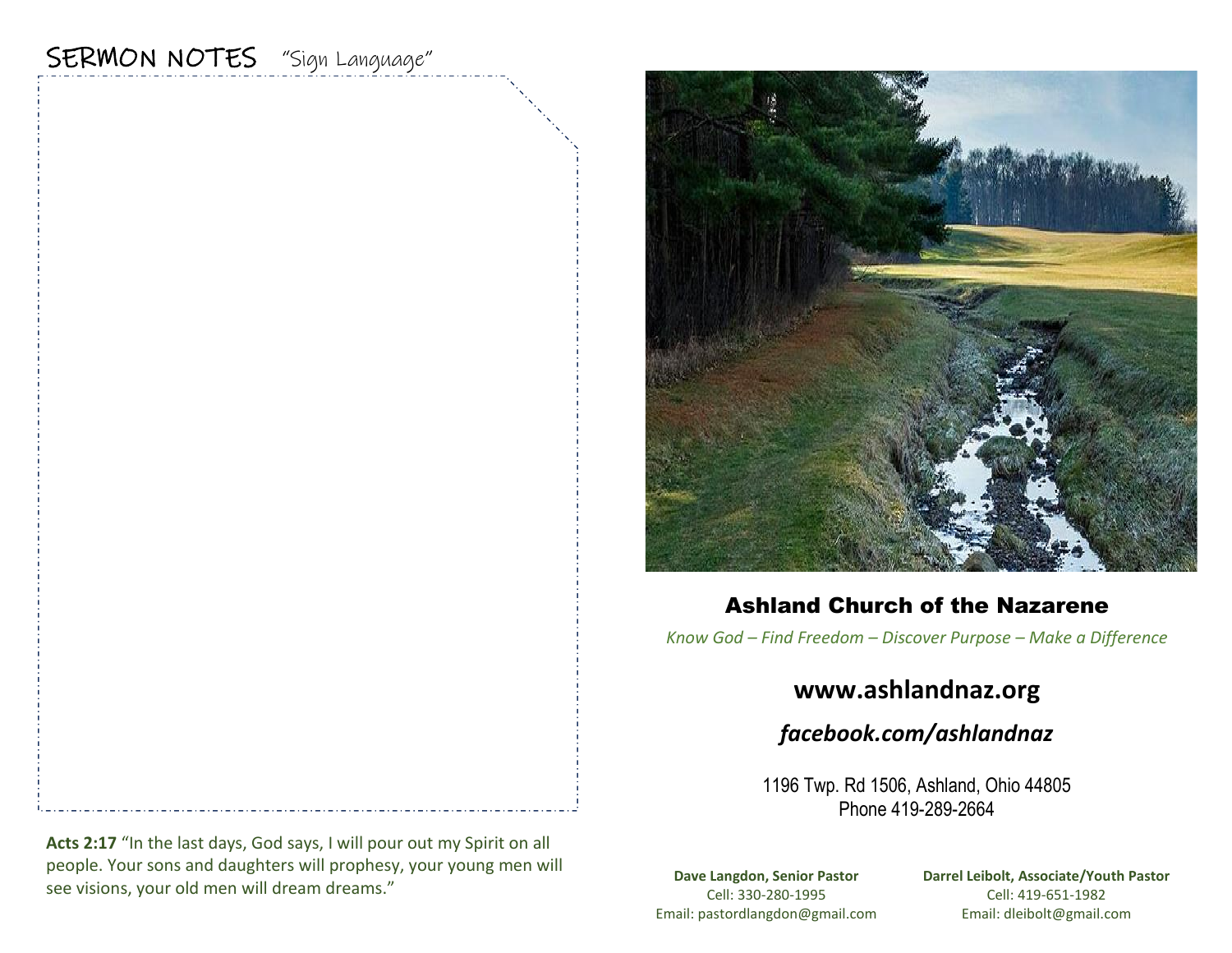# SERMON NOTES "Sign Language"



### Ashland Church of the Nazarene

*Know God – Find Freedom – Discover Purpose – Make a Difference*

## **www.ashlandnaz.org**

*facebook.com/ashlandnaz*

1196 Twp. Rd 1506, Ashland, Ohio 44805 Phone 419-289-2664

**Dave Langdon, Senior Pastor** Cell: 330-280-1995 Email: pastordlangdon@gmail.com **Darrel Leibolt, Associate/Youth Pastor** Cell: 419-651-1982 Email: dleibolt@gmail.com

**Acts 2:17** "In the last days, God says, I will pour out my Spirit on all people. Your sons and daughters will prophesy, your young men will see visions, your old men will dream dreams."